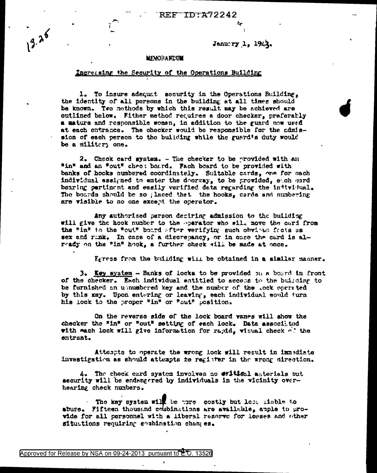REF ID:A72242

## January 1, 1942.

## **MEWORANDUM**

 $13.25$ 

## Increasing the Security of the Operations Building

1. To insure adequat security in the Operations Building, the identity of all persons in the building at all times should be known. Two methods by which this result may be achieved are outlined below. Fither method requires a door checker, preferatly a mature and responsible women, in addition to the guard now used at each ontrance. The checker would be responsible for the admission of each person to the building while the guard's duty would be a militery one.

2. Check card system. - The checker to be provided with an "in" and an "out" chec: board. Fach board to be provided with banks of hooks numbered coordinately. Suitable cards, one for each individual assigned to enter the doorway, to be provided, each card bearing pertinent and easily verified data regarding the infividual. The boards should be so ; laced that the hooks, cards and numbering are visible to no one except the operator.

Any authorized person deciring admission to the building will give the hook number to the operator who will move the card from the "In" to the "out" board after verifying such obvious facts as sex and rank. In case of a discrepancy, or in case the card is already on the "in" hook, a further check will be made at once.

Egress from the building will be obtained in a similar manner.

3. Key system - Banks of locks to be provided on a board in front of the checker. Each individual entitled to access to the building to be furnished an unnumbered key and the number of the Lock operated by this key. Upon entering or leaving, each individual would turn his lock to the proper "in" or "out" position.

On the reverse side of the lock board vanes will show the checker the "in" or "out" setting of each lock. Data associated with each lock will give information for rapid, wisual check of the entrant.

Attempts to operate the wrong lock will result in immediate investigation as should attempts to register in the wrong direction.

4. The check card system involves no ##14\$cal anterials but security will be endangered by individuals in the vicinity overhearing check numbers.

The key system will be tore costly but less ideble to abuse. Fifteen thousand combinations are available, apple to provide for all personnel with a liberal reserve for lesses and other situations requiring combination changes.